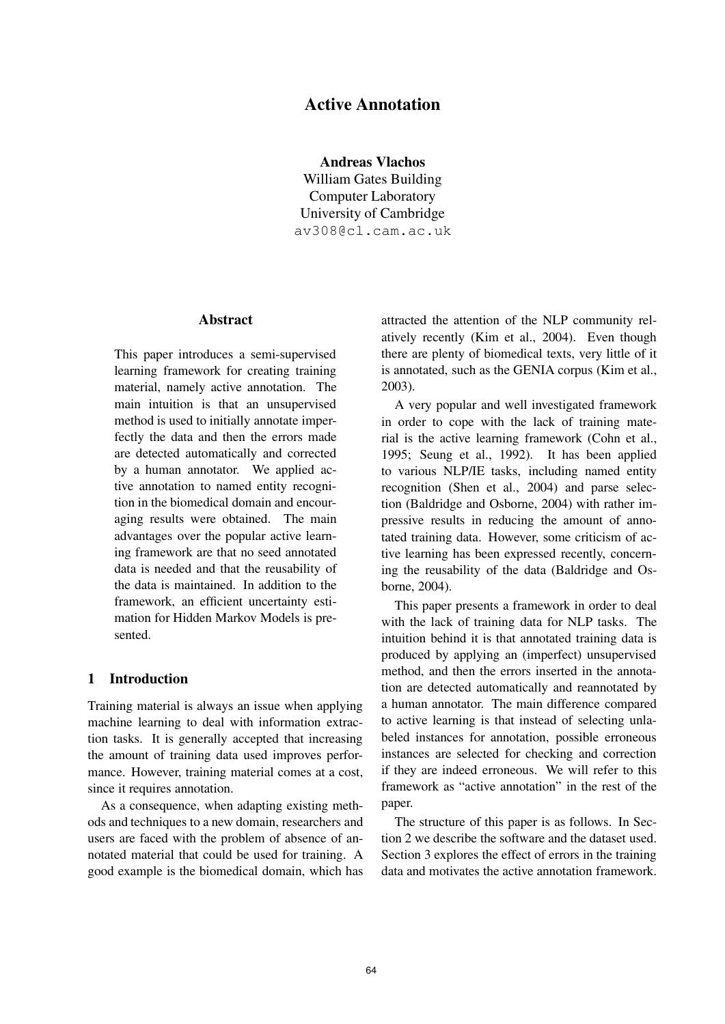# **Active Annotation**

**Andreas Vlachos**

William Gates Building Computer Laboratory University of Cambridge av308@cl.cam.ac.uk

### **Abstract**

This paper introduces a semi-supervised learning framework for creating training material, namely active annotation. The main intuition is that an unsupervised method is used to initially annotate imperfectly the data and then the errors made are detected automatically and corrected by a human annotator. We applied active annotation to named entity recognition in the biomedical domain and encouraging results were obtained. The main advantages over the popular active learning framework are that no seed annotated data is needed and that the reusability of the data is maintained. In addition to the framework, an efficient uncertainty estimation for Hidden Markov Models is presented.

### **1 Introduction**

Training material is always an issue when applying machine learning to deal with information extraction tasks. It is generally accepted that increasing the amount of training data used improves performance. However, training material comes at a cost, since it requires annotation.

As a consequence, when adapting existing methods and techniques to a new domain, researchers and users are faced with the problem of absence of annotated material that could be used for training. A good example is the biomedical domain, which has attracted the attention of the NLP community relatively recently (Kim et al., 2004). Even though there are plenty of biomedical texts, very little of it is annotated, such as the GENIA corpus (Kim et al., 2003).

A very popular and well investigated framework in order to cope with the lack of training material is the active learning framework (Cohn et al., 1995; Seung et al., 1992). It has been applied to various NLP/IE tasks, including named entity recognition (Shen et al., 2004) and parse selection (Baldridge and Osborne, 2004) with rather impressive results in reducing the amount of annotated training data. However, some criticism of active learning has been expressed recently, concerning the reusability of the data (Baldridge and Osborne, 2004).

This paper presents a framework in order to deal with the lack of training data for NLP tasks. The intuition behind it is that annotated training data is produced by applying an (imperfect) unsupervised method, and then the errors inserted in the annotation are detected automatically and reannotated by a human annotator. The main difference compared to active learning is that instead of selecting unlabeled instances for annotation, possible erroneous instances are selected for checking and correction if they are indeed erroneous. We will refer to this framework as "active annotation" in the rest of the paper.

The structure of this paper is as follows. In Section 2 we describe the software and the dataset used. Section 3 explores the effect of errors in the training data and motivates the active annotation framework.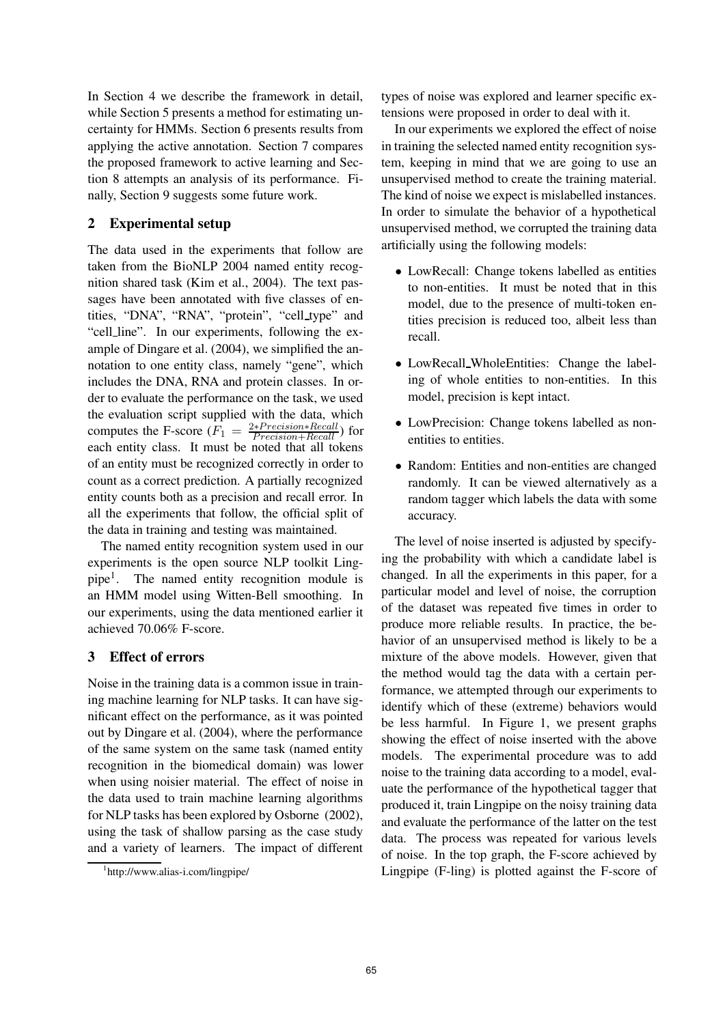In Section 4 we describe the framework in detail, while Section 5 presents a method for estimating uncertainty for HMMs. Section 6 presents results from applying the active annotation. Section 7 compares the proposed framework to active learning and Section 8 attempts an analysis of its performance. Finally, Section 9 suggests some future work.

## **2 Experimental setup**

The data used in the experiments that follow are taken from the BioNLP 2004 named entity recognition shared task (Kim et al., 2004). The text passages have been annotated with five classes of entities, "DNA", "RNA", "protein", "cell type" and "cell line". In our experiments, following the example of Dingare et al. (2004), we simplified the annotation to one entity class, namely "gene", which includes the DNA, RNA and protein classes. In order to evaluate the performance on the task, we used the evaluation script supplied with the data, which computes the F-score  $(F_1 = \frac{2*Precision*Recall}{Precision+Recall})$  for each entity class. It must be noted that all tokens of an entity must be recognized correctly in order to count as a correct prediction. A partially recognized entity counts both as a precision and recall error. In all the experiments that follow, the official split of the data in training and testing was maintained.

The named entity recognition system used in our experiments is the open source NLP toolkit Lingpipe<sup>1</sup>. The named entity recognition module is an HMM model using Witten-Bell smoothing. In our experiments, using the data mentioned earlier it achieved 70.06% F-score.

## **3 Effect of errors**

Noise in the training data is a common issue in training machine learning for NLP tasks. It can have significant effect on the performance, as it was pointed out by Dingare et al. (2004), where the performance of the same system on the same task (named entity recognition in the biomedical domain) was lower when using noisier material. The effect of noise in the data used to train machine learning algorithms for NLP tasks has been explored by Osborne (2002), using the task of shallow parsing as the case study and a variety of learners. The impact of different

types of noise was explored and learner specific extensions were proposed in order to deal with it.

In our experiments we explored the effect of noise in training the selected named entity recognition system, keeping in mind that we are going to use an unsupervised method to create the training material. The kind of noise we expect is mislabelled instances. In order to simulate the behavior of a hypothetical unsupervised method, we corrupted the training data artificially using the following models:

- LowRecall: Change tokens labelled as entities to non-entities. It must be noted that in this model, due to the presence of multi-token entities precision is reduced too, albeit less than recall.
- LowRecall\_WholeEntities: Change the labeling of whole entities to non-entities. In this model, precision is kept intact.
- LowPrecision: Change tokens labelled as nonentities to entities.
- Random: Entities and non-entities are changed randomly. It can be viewed alternatively as a random tagger which labels the data with some accuracy.

The level of noise inserted is adjusted by specifying the probability with which a candidate label is changed. In all the experiments in this paper, for a particular model and level of noise, the corruption of the dataset was repeated five times in order to produce more reliable results. In practice, the behavior of an unsupervised method is likely to be a mixture of the above models. However, given that the method would tag the data with a certain performance, we attempted through our experiments to identify which of these (extreme) behaviors would be less harmful. In Figure 1, we present graphs showing the effect of noise inserted with the above models. The experimental procedure was to add noise to the training data according to a model, evaluate the performance of the hypothetical tagger that produced it, train Lingpipe on the noisy training data and evaluate the performance of the latter on the test data. The process was repeated for various levels of noise. In the top graph, the F-score achieved by Lingpipe (F-ling) is plotted against the F-score of

<sup>1</sup> http://www.alias-i.com/lingpipe/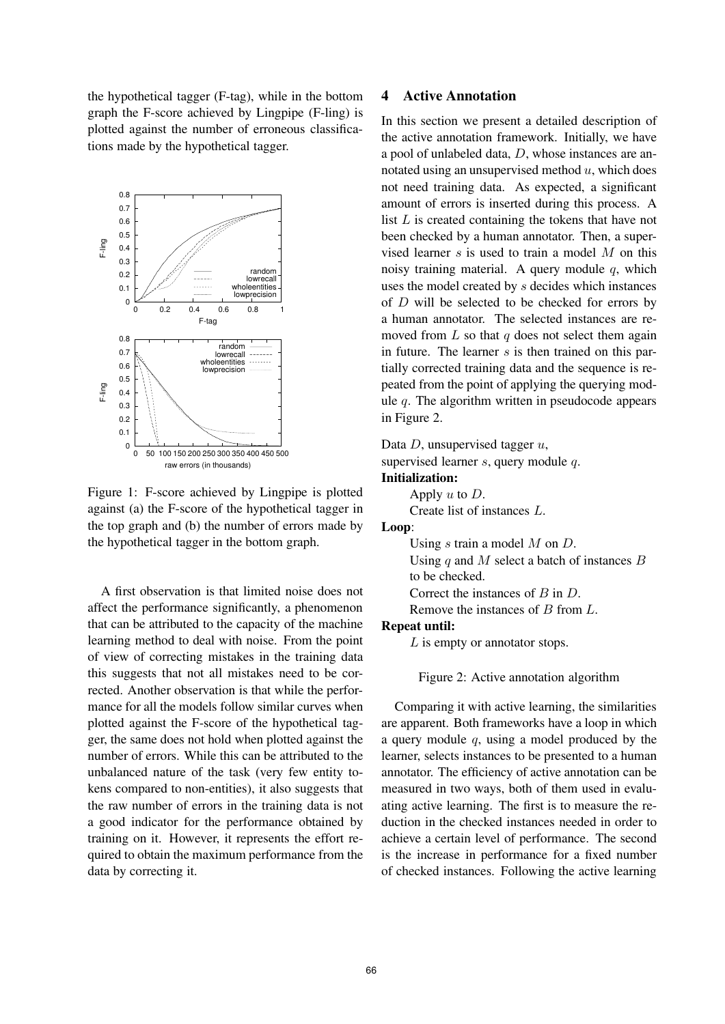the hypothetical tagger (F-tag), while in the bottom graph the F-score achieved by Lingpipe (F-ling) is plotted against the number of erroneous classifications made by the hypothetical tagger.



Figure 1: F-score achieved by Lingpipe is plotted against (a) the F-score of the hypothetical tagger in the top graph and (b) the number of errors made by the hypothetical tagger in the bottom graph.

A first observation is that limited noise does not affect the performance significantly, a phenomenon that can be attributed to the capacity of the machine learning method to deal with noise. From the point of view of correcting mistakes in the training data this suggests that not all mistakes need to be corrected. Another observation is that while the performance for all the models follow similar curves when plotted against the F-score of the hypothetical tagger, the same does not hold when plotted against the number of errors. While this can be attributed to the unbalanced nature of the task (very few entity tokens compared to non-entities), it also suggests that the raw number of errors in the training data is not a good indicator for the performance obtained by training on it. However, it represents the effort required to obtain the maximum performance from the data by correcting it.

#### **4 Active Annotation**

In this section we present a detailed description of the active annotation framework. Initially, we have a pool of unlabeled data, D, whose instances are annotated using an unsupervised method  $u$ , which does not need training data. As expected, a significant amount of errors is inserted during this process. A list  $L$  is created containing the tokens that have not been checked by a human annotator. Then, a supervised learner  $s$  is used to train a model  $M$  on this noisy training material. A query module  $q$ , which uses the model created by s decides which instances of  $D$  will be selected to be checked for errors by a human annotator. The selected instances are removed from  $L$  so that  $q$  does not select them again in future. The learner  $s$  is then trained on this partially corrected training data and the sequence is repeated from the point of applying the querying module  $q$ . The algorithm written in pseudocode appears in Figure 2.

Data  $D$ , unsupervised tagger  $u$ ,

supervised learner  $s$ , query module  $q$ .

#### **Initialization:**

Apply  $u$  to  $D$ . Create list of instances L.

#### **Loop**:

Using  $s$  train a model  $M$  on  $D$ .

Using q and M select a batch of instances  $B$ to be checked.

Correct the instances of B in D.

Remove the instances of B from L.

#### **Repeat until:**

L is empty or annotator stops.

Figure 2: Active annotation algorithm

Comparing it with active learning, the similarities are apparent. Both frameworks have a loop in which a query module  $q$ , using a model produced by the learner, selects instances to be presented to a human annotator. The efficiency of active annotation can be measured in two ways, both of them used in evaluating active learning. The first is to measure the reduction in the checked instances needed in order to achieve a certain level of performance. The second is the increase in performance for a fixed number of checked instances. Following the active learning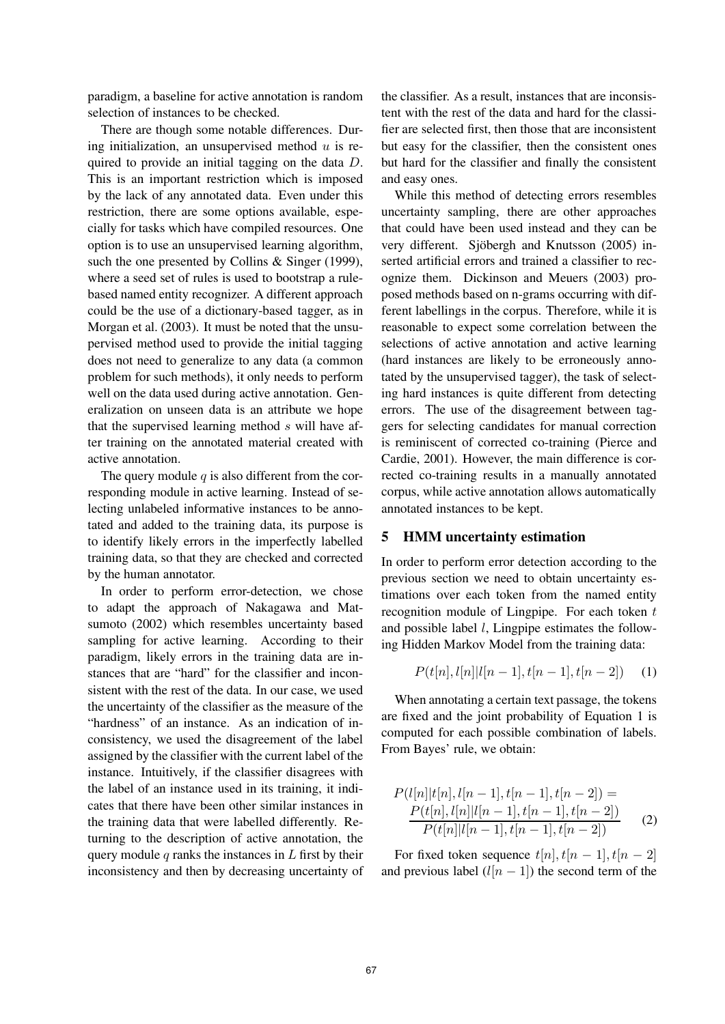paradigm, a baseline for active annotation is random selection of instances to be checked.

There are though some notable differences. During initialization, an unsupervised method  $u$  is required to provide an initial tagging on the data D. This is an important restriction which is imposed by the lack of any annotated data. Even under this restriction, there are some options available, especially for tasks which have compiled resources. One option is to use an unsupervised learning algorithm, such the one presented by Collins & Singer (1999), where a seed set of rules is used to bootstrap a rulebased named entity recognizer. A different approach could be the use of a dictionary-based tagger, as in Morgan et al. (2003). It must be noted that the unsupervised method used to provide the initial tagging does not need to generalize to any data (a common problem for such methods), it only needs to perform well on the data used during active annotation. Generalization on unseen data is an attribute we hope that the supervised learning method  $s$  will have after training on the annotated material created with active annotation.

The query module  $q$  is also different from the corresponding module in active learning. Instead of selecting unlabeled informative instances to be annotated and added to the training data, its purpose is to identify likely errors in the imperfectly labelled training data, so that they are checked and corrected by the human annotator.

In order to perform error-detection, we chose to adapt the approach of Nakagawa and Matsumoto (2002) which resembles uncertainty based sampling for active learning. According to their paradigm, likely errors in the training data are instances that are "hard" for the classifier and inconsistent with the rest of the data. In our case, we used the uncertainty of the classifier as the measure of the "hardness" of an instance. As an indication of inconsistency, we used the disagreement of the label assigned by the classifier with the current label of the instance. Intuitively, if the classifier disagrees with the label of an instance used in its training, it indicates that there have been other similar instances in the training data that were labelled differently. Returning to the description of active annotation, the query module  $q$  ranks the instances in  $L$  first by their inconsistency and then by decreasing uncertainty of

the classifier. As a result, instances that are inconsistent with the rest of the data and hard for the classifier are selected first, then those that are inconsistent but easy for the classifier, then the consistent ones but hard for the classifier and finally the consistent and easy ones.

While this method of detecting errors resembles uncertainty sampling, there are other approaches that could have been used instead and they can be very different. Sjöbergh and Knutsson (2005) inserted artificial errors and trained a classifier to recognize them. Dickinson and Meuers (2003) proposed methods based on n-grams occurring with different labellings in the corpus. Therefore, while it is reasonable to expect some correlation between the selections of active annotation and active learning (hard instances are likely to be erroneously annotated by the unsupervised tagger), the task of selecting hard instances is quite different from detecting errors. The use of the disagreement between taggers for selecting candidates for manual correction is reminiscent of corrected co-training (Pierce and Cardie, 2001). However, the main difference is corrected co-training results in a manually annotated corpus, while active annotation allows automatically annotated instances to be kept.

### **5 HMM uncertainty estimation**

In order to perform error detection according to the previous section we need to obtain uncertainty estimations over each token from the named entity recognition module of Lingpipe. For each token  $t$ and possible label l, Lingpipe estimates the following Hidden Markov Model from the training data:

$$
P(t[n], l[n]|l[n-1], t[n-1], t[n-2]) \quad (1)
$$

When annotating a certain text passage, the tokens are fixed and the joint probability of Equation 1 is computed for each possible combination of labels. From Bayes' rule, we obtain:

$$
P(l[n]|t[n], l[n-1], t[n-1], t[n-2]) =
$$
  
\n
$$
\frac{P(t[n], l[n]|l[n-1], t[n-1], t[n-2])}{P(t[n]|l[n-1], t[n-1], t[n-2])}
$$
 (2)

For fixed token sequence  $t[n], t[n-1], t[n-2]$ and previous label  $(l[n-1])$  the second term of the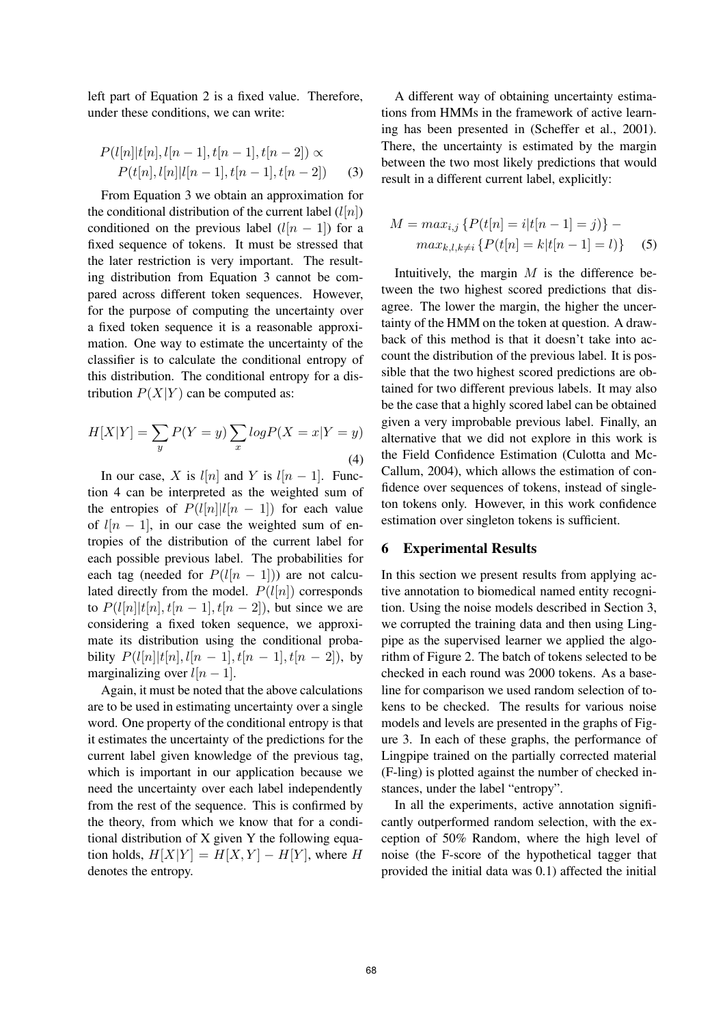left part of Equation 2 is a fixed value. Therefore, under these conditions, we can write:

$$
P(l[n]|t[n], l[n-1], t[n-1], t[n-2]) \propto
$$
  
 
$$
P(t[n], l[n]|l[n-1], t[n-1], t[n-2]) \qquad (3)
$$

From Equation 3 we obtain an approximation for the conditional distribution of the current label  $(l[n])$ conditioned on the previous label  $(l(n - 1))$  for a fixed sequence of tokens. It must be stressed that the later restriction is very important. The resulting distribution from Equation 3 cannot be compared across different token sequences. However, for the purpose of computing the uncertainty over a fixed token sequence it is a reasonable approximation. One way to estimate the uncertainty of the classifier is to calculate the conditional entropy of this distribution. The conditional entropy for a distribution  $P(X|Y)$  can be computed as:

$$
H[X|Y] = \sum_{y} P(Y = y) \sum_{x} log P(X = x|Y = y)
$$
\n(4)

In our case, X is  $l[n]$  and Y is  $l[n-1]$ . Function 4 can be interpreted as the weighted sum of the entropies of  $P(l[n]|l[n-1])$  for each value of  $l[n - 1]$ , in our case the weighted sum of entropies of the distribution of the current label for each possible previous label. The probabilities for each tag (needed for  $P(l[n-1])$ ) are not calculated directly from the model.  $P(l[n])$  corresponds to  $P(l[n]|t[n], t[n-1], t[n-2])$ , but since we are considering a fixed token sequence, we approximate its distribution using the conditional probability  $P(l[n]|t[n],l[n-1],t[n-1],t[n-2])$ , by marginalizing over  $l[n-1]$ .

Again, it must be noted that the above calculations are to be used in estimating uncertainty over a single word. One property of the conditional entropy is that it estimates the uncertainty of the predictions for the current label given knowledge of the previous tag, which is important in our application because we need the uncertainty over each label independently from the rest of the sequence. This is confirmed by the theory, from which we know that for a conditional distribution of X given Y the following equation holds,  $H[X|Y] = H[X,Y] - H[Y]$ , where H denotes the entropy.

A different way of obtaining uncertainty estimations from HMMs in the framework of active learning has been presented in (Scheffer et al., 2001). There, the uncertainty is estimated by the margin between the two most likely predictions that would result in a different current label, explicitly:

$$
M = max_{i,j} \{ P(t[n] = i|t[n-1] = j) \} -
$$
  

$$
max_{k,l,k \neq i} \{ P(t[n] = k|t[n-1] = l) \} \quad (5)
$$

Intuitively, the margin  $M$  is the difference between the two highest scored predictions that disagree. The lower the margin, the higher the uncertainty of the HMM on the token at question. A drawback of this method is that it doesn't take into account the distribution of the previous label. It is possible that the two highest scored predictions are obtained for two different previous labels. It may also be the case that a highly scored label can be obtained given a very improbable previous label. Finally, an alternative that we did not explore in this work is the Field Confidence Estimation (Culotta and Mc-Callum, 2004), which allows the estimation of confidence over sequences of tokens, instead of singleton tokens only. However, in this work confidence estimation over singleton tokens is sufficient.

#### **6 Experimental Results**

In this section we present results from applying active annotation to biomedical named entity recognition. Using the noise models described in Section 3, we corrupted the training data and then using Lingpipe as the supervised learner we applied the algorithm of Figure 2. The batch of tokens selected to be checked in each round was 2000 tokens. As a baseline for comparison we used random selection of tokens to be checked. The results for various noise models and levels are presented in the graphs of Figure 3. In each of these graphs, the performance of Lingpipe trained on the partially corrected material (F-ling) is plotted against the number of checked instances, under the label "entropy".

In all the experiments, active annotation significantly outperformed random selection, with the exception of 50% Random, where the high level of noise (the F-score of the hypothetical tagger that provided the initial data was 0.1) affected the initial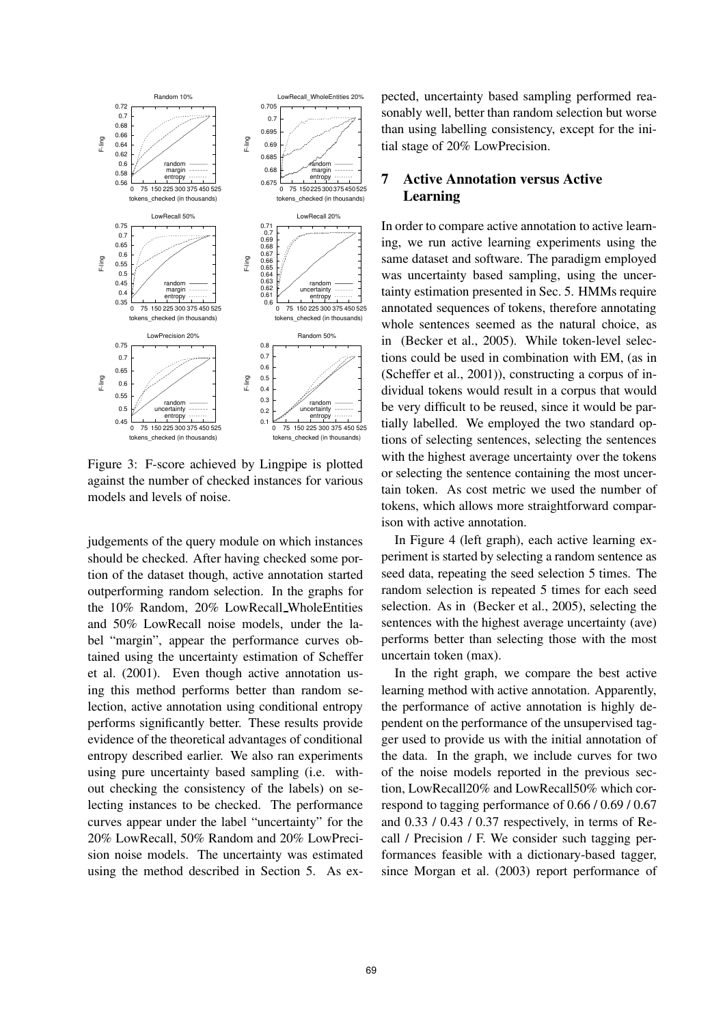

Figure 3: F-score achieved by Lingpipe is plotted against the number of checked instances for various models and levels of noise.

judgements of the query module on which instances should be checked. After having checked some portion of the dataset though, active annotation started outperforming random selection. In the graphs for the 10% Random, 20% LowRecall WholeEntities and 50% LowRecall noise models, under the label "margin", appear the performance curves obtained using the uncertainty estimation of Scheffer et al. (2001). Even though active annotation using this method performs better than random selection, active annotation using conditional entropy performs significantly better. These results provide evidence of the theoretical advantages of conditional entropy described earlier. We also ran experiments using pure uncertainty based sampling (i.e. without checking the consistency of the labels) on selecting instances to be checked. The performance curves appear under the label "uncertainty" for the 20% LowRecall, 50% Random and 20% LowPrecision noise models. The uncertainty was estimated using the method described in Section 5. As ex-

pected, uncertainty based sampling performed reasonably well, better than random selection but worse than using labelling consistency, except for the initial stage of 20% LowPrecision.

## **7 Active Annotation versus Active Learning**

In order to compare active annotation to active learning, we run active learning experiments using the same dataset and software. The paradigm employed was uncertainty based sampling, using the uncertainty estimation presented in Sec. 5. HMMs require annotated sequences of tokens, therefore annotating whole sentences seemed as the natural choice, as in (Becker et al., 2005). While token-level selections could be used in combination with EM, (as in (Scheffer et al., 2001)), constructing a corpus of individual tokens would result in a corpus that would be very difficult to be reused, since it would be partially labelled. We employed the two standard options of selecting sentences, selecting the sentences with the highest average uncertainty over the tokens or selecting the sentence containing the most uncertain token. As cost metric we used the number of tokens, which allows more straightforward comparison with active annotation.

In Figure 4 (left graph), each active learning experiment is started by selecting a random sentence as seed data, repeating the seed selection 5 times. The random selection is repeated 5 times for each seed selection. As in (Becker et al., 2005), selecting the sentences with the highest average uncertainty (ave) performs better than selecting those with the most uncertain token (max).

In the right graph, we compare the best active learning method with active annotation. Apparently, the performance of active annotation is highly dependent on the performance of the unsupervised tagger used to provide us with the initial annotation of the data. In the graph, we include curves for two of the noise models reported in the previous section, LowRecall20% and LowRecall50% which correspond to tagging performance of 0.66 / 0.69 / 0.67 and 0.33 / 0.43 / 0.37 respectively, in terms of Recall / Precision / F. We consider such tagging performances feasible with a dictionary-based tagger, since Morgan et al. (2003) report performance of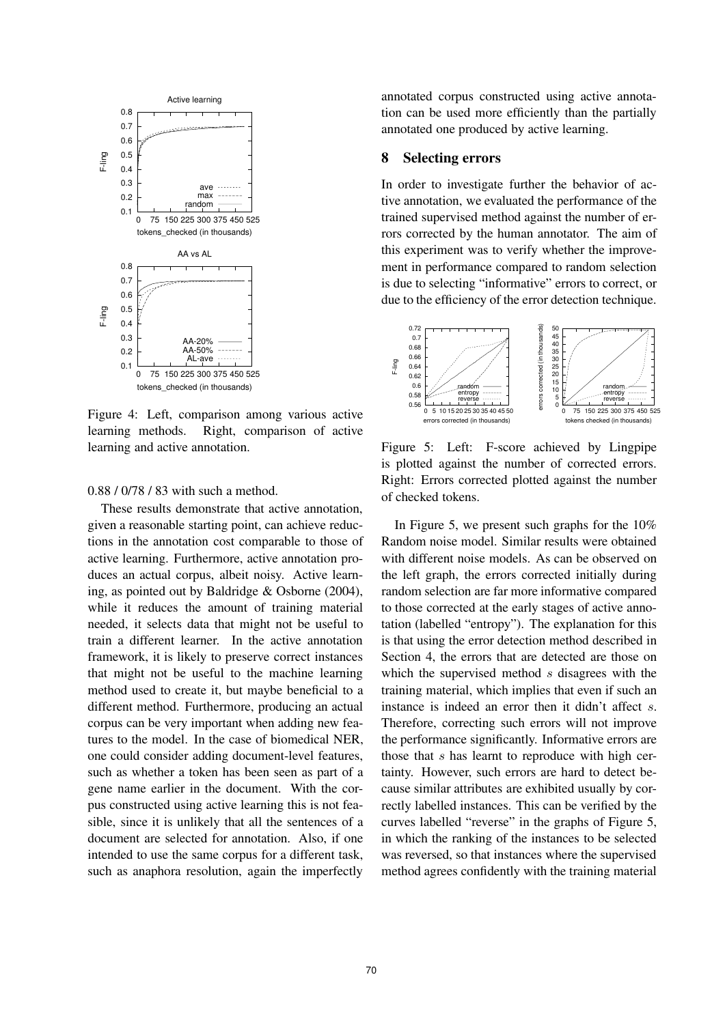

Figure 4: Left, comparison among various active learning methods. Right, comparison of active learning and active annotation.

#### 0.88 / 0/78 / 83 with such a method.

These results demonstrate that active annotation, given a reasonable starting point, can achieve reductions in the annotation cost comparable to those of active learning. Furthermore, active annotation produces an actual corpus, albeit noisy. Active learning, as pointed out by Baldridge & Osborne (2004), while it reduces the amount of training material needed, it selects data that might not be useful to train a different learner. In the active annotation framework, it is likely to preserve correct instances that might not be useful to the machine learning method used to create it, but maybe beneficial to a different method. Furthermore, producing an actual corpus can be very important when adding new features to the model. In the case of biomedical NER, one could consider adding document-level features, such as whether a token has been seen as part of a gene name earlier in the document. With the corpus constructed using active learning this is not feasible, since it is unlikely that all the sentences of a document are selected for annotation. Also, if one intended to use the same corpus for a different task, such as anaphora resolution, again the imperfectly

annotated corpus constructed using active annotation can be used more efficiently than the partially annotated one produced by active learning.

### **8 Selecting errors**

In order to investigate further the behavior of active annotation, we evaluated the performance of the trained supervised method against the number of errors corrected by the human annotator. The aim of this experiment was to verify whether the improvement in performance compared to random selection is due to selecting "informative" errors to correct, or due to the efficiency of the error detection technique.



Figure 5: Left: F-score achieved by Lingpipe is plotted against the number of corrected errors. Right: Errors corrected plotted against the number of checked tokens.

In Figure 5, we present such graphs for the 10% Random noise model. Similar results were obtained with different noise models. As can be observed on the left graph, the errors corrected initially during random selection are far more informative compared to those corrected at the early stages of active annotation (labelled "entropy"). The explanation for this is that using the error detection method described in Section 4, the errors that are detected are those on which the supervised method s disagrees with the training material, which implies that even if such an instance is indeed an error then it didn't affect s. Therefore, correcting such errors will not improve the performance significantly. Informative errors are those that s has learnt to reproduce with high certainty. However, such errors are hard to detect because similar attributes are exhibited usually by correctly labelled instances. This can be verified by the curves labelled "reverse" in the graphs of Figure 5, in which the ranking of the instances to be selected was reversed, so that instances where the supervised method agrees confidently with the training material